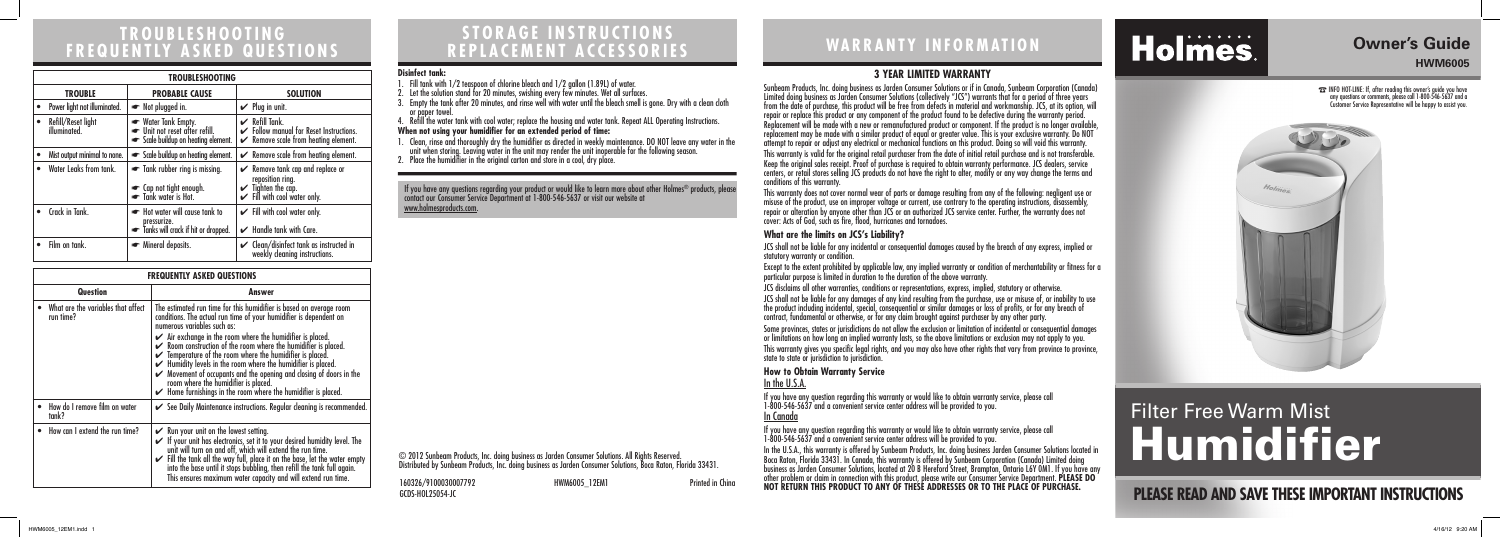## **STORAGE INSTRUCTIONS REPLACEMENT ACCESSORIES WARRANTY INFORMATION TROUBLESHOOTING**

# **FREQUENTLY ASKED QUESTIONS**

### **3 YEAR LIMITED WARRANTY**

Sunbeam Products, Inc. doing business as Jarden Consumer Solutions or if in Canada, Sunbeam Corporation (Canada) Limited doing business as Jarden Consumer Solutions (collectively "JCS") warrants that for a period of three years from the date of purchase, this product will be free from defects in material and workmanship. JCS, at its option, will repair or replace this product or any component of the product found to be defective during the warranty period. Replacement will be made with a new or remanufactured product or component. If the product is no longer available, replacement may be made with a similar product of equal or greater value. This is your exclusive warranty. Do NOT attempt to repair or adjust any electrical or mechanical functions on this product. Doing so will void this warranty. This warranty is valid for the original retail purchaser from the date of initial retail purchase and is not transferable. Keep the original sales receipt. Proof of purchase is required to obtain warranty performance. JCS dealers, service centers, or retail stores selling JCS products do not have the right to alter, modify or any way change the terms and conditions of this warranty. This warranty does not cover normal wear of parts or damage resulting from any of the following: negligent use or misuse of the product, use on improper voltage or current, use contrary to the operating instructions, disassembly, repair or alteration by anyone other than JCS or an authorized JCS service center. Further, the warranty does not cover: Acts of God, such as fire, flood, hurricanes and tornadoes.

If you have any question regarding this warranty or would like to obtain warranty service, please call 1-800-546-5637 and a convenient service center address will be provided to you. In the U.S.A., this warranty is offered by Sunbeam Products, Inc. doing business Jarden Consumer Solutions located in Boca Raton, Florida 33431. In Canada, this warranty is offered by Sunbeam Corporation (Canada) Limited doing business as Jarden Consumer Solutions, located at 20 B Hereford Street, Brampton, Ontario L6Y 0M1. If you have any 160326/9100030007792 HWM6005\_12EM1 Printed in China other problem or claim in connection with this product, please write our Consumer Service Department. **PLEASE DO** 

#### **What are the limits on JCS's Liability?**

JCS shall not be liable for any incidental or consequential damages caused by the breach of any express, implied or

statutory warranty or condition.

- 1. Fill tank with 1/2 teaspoon of chlorine bleach and 1/2 gallon (1.89L) of water.
- 2. Let the solution stand for 20 minutes, swishing every few minutes. Wet all surfaces.
- 3. Empty the tank after 20 minutes, and rinse well with water until the bleach smell is gone. Dry with a clean cloth or paper towel

- 1. Clean, rinse and thoroughly dry the humidifier as directed in weekly maintenance. DO NOT leave any water in the unit when storing. Leaving water in the unit may render the unit inoperable for the following season.
- 2. Place the humidifier in the original carton and store in a cool, dry place.

- Except to the extent prohibited by applicable law, any implied warranty or condition of merchantability or fitness for a particular purpose is limited in duration to the duration of the above warranty.
- JCS disclaims all other warranties, conditions or representations, express, implied, statutory or otherwise.
- JCS shall not be liable for any damages of any kind resulting from the purchase, use or misuse of, or inability to use the product including incidental, special, consequential or similar damages or loss of profits, or for any breach of contract, fundamental or otherwise, or for any claim brought against purchaser by any other party.
- Some provinces, states or jurisdictions do not allow the exclusion or limitation of incidental or consequential damages or limitations on how long an implied warranty lasts, so the above limitations or exclusion may not apply to you.
- This warranty gives you specific legal rights, and you may also have other rights that vary from province to province,

state to state or jurisdiction to jurisdiction.

#### **How to Obtain Warranty Service** In the U.S.A.

If you have any question regarding this warranty or would like to obtain warranty service, please call 1-800-546-5637 and a convenient service center address will be provided to you.

# Holmes.

In Canada

GCDS-HOL25054-JC



© 2012 Sunbeam Products, Inc. doing business as Jarden Consumer Solutions. All Rights Reserved. Distributed by Sunbeam Products, Inc. doing business as Jarden Consumer Solutions, Boca Raton, Florida 33431.

#### **Disinfect tank:**

4. Refill the water tank with cool water; replace the housing and water tank. Repeat ALL Operating Instructions. **When not using your humidifier for an extended period of time:**

| <b>FREQUENTLY ASKED QUESTIONS</b>               |                                                                                                                                                                                                                                                                                                                                                                                                                                                                                                                                                                                                                                                                                        |  |
|-------------------------------------------------|----------------------------------------------------------------------------------------------------------------------------------------------------------------------------------------------------------------------------------------------------------------------------------------------------------------------------------------------------------------------------------------------------------------------------------------------------------------------------------------------------------------------------------------------------------------------------------------------------------------------------------------------------------------------------------------|--|
| <b>Question</b>                                 | Answer                                                                                                                                                                                                                                                                                                                                                                                                                                                                                                                                                                                                                                                                                 |  |
| What are the variables that affect<br>run time? | The estimated run time for this humidifier is based on average room<br>conditions. The actual run time of your humidifier is dependent on<br>numerous variables such as:<br>$\checkmark$ Air exchange in the room where the humidifier is placed.<br>$\checkmark$ Room construction of the room where the humidifier is placed.<br>$\checkmark$ Temperature of the room where the humidifier is placed.<br>$\checkmark$ Humidity levels in the room where the humidifier is placed.<br>Movement of occupants and the opening and closing of doors in the<br>room where the humidifier is placed.<br>$\blacktriangleright$ Home furnishings in the room where the humidifier is placed. |  |
| How do I remove film on water<br>tank?          | See Daily Maintenance instructions. Regular cleaning is recommended.                                                                                                                                                                                                                                                                                                                                                                                                                                                                                                                                                                                                                   |  |
| How can I extend the run time?                  | $\mathcal V$ Run your unit on the lowest setting.<br>If your unit has electronics, set it to your desired humidity level. The<br>unit will turn on and off, which will extend the run time.<br>$\checkmark$ Fill the tank all the way full, place it on the base, let the water empty into the base until it stops bubbling, then refill the tank full again.<br>This ensures maximum water capacity and will extend run time.                                                                                                                                                                                                                                                         |  |

| <b>TROUBLESHOOTING</b>             |                                                                                        |                                                                                                                                           |  |
|------------------------------------|----------------------------------------------------------------------------------------|-------------------------------------------------------------------------------------------------------------------------------------------|--|
| <b>TROUBLE</b>                     | <b>PROBABLE CAUSE</b>                                                                  | <b>SOLUTION</b>                                                                                                                           |  |
| Power light not illuminated.       | Not plugged in.                                                                        | $\vee$ Plug in unit.                                                                                                                      |  |
| Refill/Reset light<br>illuminated. | Water Tank Empty.<br>Unit not reset after refill.<br>Scale buildup on heating element. | $\mathcal V$ Refill Tank.<br>Follow manual for Reset Instructions.<br>$\swarrow$ Remove scale from heating element.                       |  |
| Mist output minimal to none.       | Scale buildup on heating element.                                                      | $\swarrow$ Remove scale from heating element.                                                                                             |  |
| Water Leaks from tank.             | • Tank rubber ring is missing.<br>• Cap not tight enough.<br>Tank water is Hot.        | $\swarrow$ Remove tank cap and replace or<br>reposition ring.<br>$\checkmark$ Tighten the cap.<br>$\checkmark$ Fill with cool water only. |  |
| Crack in Tank.                     | Hot water will cause tank to<br>pressurize.<br>Tanks will crack if hit or dropped.     | $\checkmark$ Fill with cool water only.<br>Handle tank with Care.<br>✓                                                                    |  |
| Film on tank.                      | • Mineral deposits.                                                                    | $\checkmark$ Clean/disinfect tank as instructed in<br>weekly cleaning instructions.                                                       |  |

# **PLEASE READ AND SAVE THESE IMPORTANT INSTRUCTIONS**

## **Owner's Guide HWM6005**

☎ INFO HOT-LINE: If, after reading this owner's guide you have any questions or comments, please call 1-800-546-5637 and a Customer Service Representative will be happy to assist you.



# Filter Free Warm Mist Humidifier

If you have any questions regarding your product or would like to learn more about other Holmes® products, please contact our Consumer Service Department at 1-800-546-5637 or visit our website at www.holmesproducts.com.